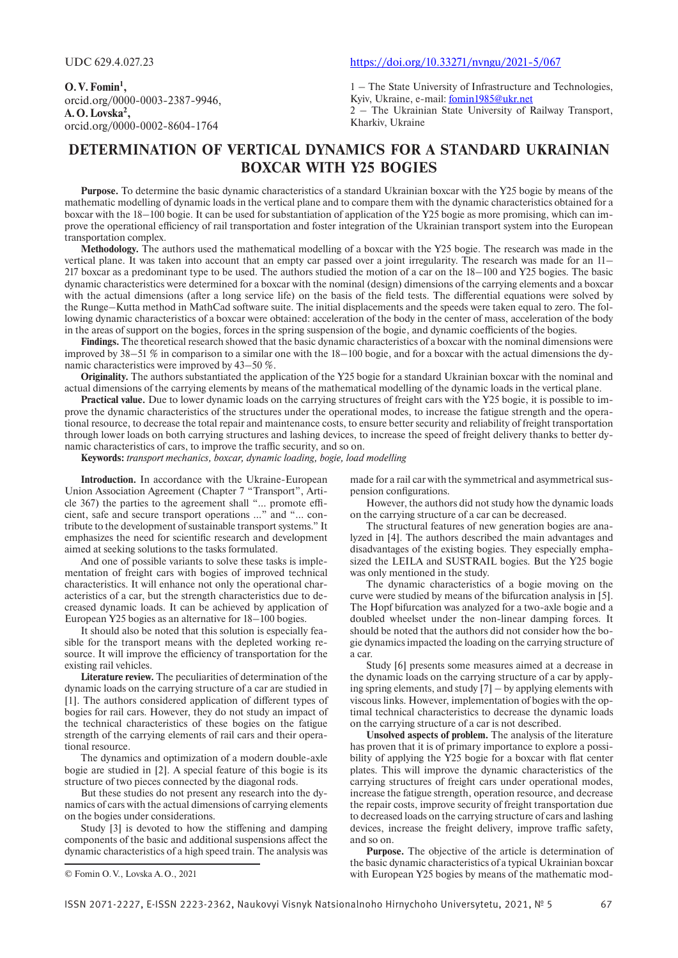**O.V.Fomin1 ,** orcid.org/0000-0003-2387-9946, **A.O.Lovska2 ,** orcid.org/0000-0002-8604-1764

### UDC 629.4.027.23 https://doi.org/10.33271/nvngu/2021-5/067

1 – The State University of Infrastructure and Technologies, Kyiv, Ukraine, e-mail: fomin1985@ukr.net

2 – The Ukrainian State University of Railway Transport, Kharkiv, Ukraine

# **DETERMINATION OF VERTICAL DYNAMICS FOR A STANDARD UKRAINIAN BOXCAR WITH Y25 BOGIES**

**Purpose.** To determine the basic dynamic characteristics of a standard Ukrainian boxcar with the Y25 bogie by means of the mathematic modelling of dynamic loads in the vertical plane and to compare them with the dynamic characteristics obtained for a boxcar with the 18–100 bogie. It can be used for substantiation of application of the Y25 bogie as more promising, which can improve the operational efficiency of rail transportation and foster integration of the Ukrainian transport system into the European transportation complex.

**Methodology.** The authors used the mathematical modelling of a boxcar with the Y25 bogie. The research was made in the vertical plane. It was taken into account that an empty car passed over a joint irregularity. The research was made for an 11– 217 boxcar as a predominant type to be used. The authors studied the motion of a car on the 18–100 and Y25 bogies. The basic dynamic characteristics were determined for a boxcar with the nominal (design) dimensions of the carrying elements and a boxcar with the actual dimensions (after a long service life) on the basis of the field tests. The differential equations were solved by the Runge–Kutta method in MathCad software suite. The initial displacements and the speeds were taken equal to zero. The following dynamic characteristics of a boxcar were obtained: acceleration of the body in the center of mass, acceleration of the body in the areas of support on the bogies, forces in the spring suspension of the bogie, and dynamic coefficients of the bogies.

**Findings.** The theoretical research showed that the basic dynamic characteristics of a boxcar with the nominal dimensions were improved by 38–51 % in comparison to a similar one with the 18–100 bogie, and for a boxcar with the actual dimensions the dynamic characteristics were improved by 43–50 %.

**Originality.** The authors substantiated the application of the Y25 bogie for a standard Ukrainian boxcar with the nominal and actual dimensions of the carrying elements by means of the mathematical modelling of the dynamic loads in the vertical plane.

**Practical value.** Due to lower dynamic loads on the carrying structures of freight cars with the Y25 bogie, it is possible to improve the dynamic characteristics of the structures under the operational modes, to increase the fatigue strength and the operational resource, to decrease the total repair and maintenance costs, to ensure better security and reliability of freight transportation through lower loads on both carrying structures and lashing devices, to increase the speed of freight delivery thanks to better dynamic characteristics of cars, to improve the traffic security, and so on.

**Keywords:** *transport mechanics, boxcar, dynamic loading, bogie, load modelling*

**Introduction.** In accordance with the Ukraine-European Union Association Agreement (Chapter 7 "Transport", Article 367) the parties to the agreement shall "… promote efficient, safe and secure transport operations …" and "… contribute to the development of sustainable transport systems." It emphasizes the need for scientific research and development aimed at seeking solutions to the tasks formulated.

And one of possible variants to solve these tasks is implementation of freight cars with bogies of improved technical characteristics. It will enhance not only the operational characteristics of a car, but the strength characteristics due to decreased dynamic loads. It can be achieved by application of European Y25 bogies as an alternative for 18–100 bogies.

It should also be noted that this solution is especially feasible for the transport means with the depleted working resource. It will improve the efficiency of transportation for the existing rail vehicles.

**Literature review.** The peculiarities of determination of the dynamic loads on the carrying structure of a car are studied in [1]. The authors considered application of different types of bogies for rail cars. However, they do not study an impact of the technical characteristics of these bogies on the fatigue strength of the carrying elements of rail cars and their operational resource.

The dynamics and optimization of a modern double-axle bogie are studied in [2]. A special feature of this bogie is its structure of two pieces connected by the diagonal rods.

But these studies do not present any research into the dynamics of cars with the actual dimensions of carrying elements on the bogies under considerations.

Study [3] is devoted to how the stiffening and damping components of the basic and additional suspensions affect the dynamic characteristics of a high speed train. The analysis was

made for a rail car with the symmetrical and asymmetrical suspension configurations.

However, the authors did not study how the dynamic loads on the carrying structure of a car can be decreased.

The structural features of new generation bogies are analyzed in [4]. The authors described the main advantages and disadvantages of the existing bogies. They especially emphasized the LEILA and SUSTRAIL bogies. But the Y25 bogie was only mentioned in the study.

The dynamic characteristics of a bogie moving on the curve were studied by means of the bifurcation analysis in [5]. The Hopf bifurcation was analyzed for a two-axle bogie and a doubled wheelset under the non-linear damping forces. It should be noted that the authors did not consider how the bogie dynamics impacted the loading on the carrying structure of a car.

Study [6] presents some measures aimed at a decrease in the dynamic loads on the carrying structure of a car by applying spring elements, and study [7] – by applying elements with viscous links. However, implementation of bogies with the optimal technical characteristics to decrease the dynamic loads on the carrying structure of a car is not described.

**Unsolved aspects of problem.** The analysis of the literature has proven that it is of primary importance to explore a possibility of applying the Y25 bogie for a boxcar with flat center plates. This will improve the dynamic characteristics of the carrying structures of freight cars under operational modes, increase the fatigue strength, operation resource, and decrease the repair costs, improve security of freight transportation due to decreased loads on the carrying structure of cars and lashing devices, increase the freight delivery, improve traffic safety, and so on.

**Purpose.** The objective of the article is determination of the basic dynamic characteristics of a typical Ukrainian boxcar with European Y25 bogies by means of the mathematic mod

<sup>©</sup> Fomin O.V., Lovska A.O., 2021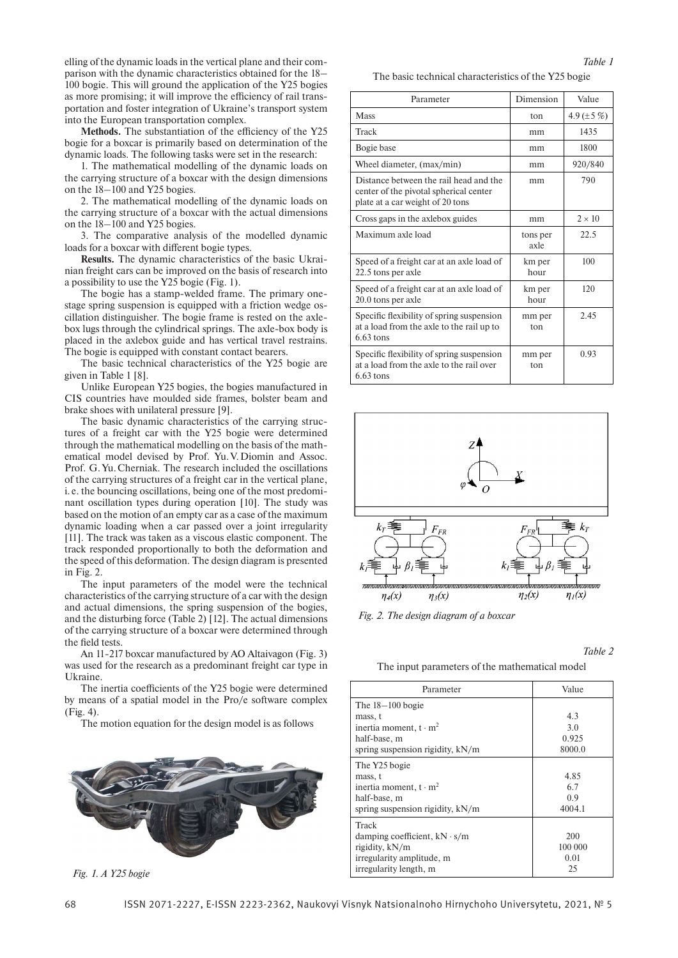elling of the dynamic loads in the vertical plane and their comparison with the dynamic characteristics obtained for the 18– 100 bogie. This will ground the application of the Y25 bogies as more promising; it will improve the efficiency of rail transportation and foster integration of Ukraine's transport system into the European transportation complex.

**Methods.** The substantiation of the efficiency of the Y25 bogie for a boxcar is primarily based on determination of the dynamic loads. The following tasks were set in the research:

1. The mathematical modelling of the dynamic loads on the carrying structure of a boxcar with the design dimensions on the 18–100 and Y25 bogies.

2. The mathematical modelling of the dynamic loads on the carrying structure of a boxcar with the actual dimensions on the 18–100 and Y25 bogies.

3. The comparative analysis of the modelled dynamic loads for a boxcar with different bogie types.

**Results.** The dynamic characteristics of the basic Ukrainian freight cars can be improved on the basis of research into a possibility to use the Y25 bogie (Fig. 1).

The bogie has a stamp-welded frame. The primary onestage spring suspension is equipped with a friction wedge oscillation distinguisher. The bogie frame is rested on the axlebox lugs through the cylindrical springs. The axle-box body is placed in the axlebox guide and has vertical travel restrains. The bogie is equipped with constant contact bearers.

The basic technical characteristics of the Y25 bogie are given in Table 1 [8].

Unlike European Y25 bogies, the bogies manufactured in CIS countries have moulded side frames, bolster beam and brake shoes with unilateral pressure [9].

The basic dynamic characteristics of the carrying structures of a freight car with the Y25 bogie were determined through the mathematical modelling on the basis of the mathematical model devised by Prof. Yu.V.Diomin and Assoc. Prof. G.Yu.Cherniak. The research included the oscillations of the carrying structures of a freight car in the vertical plane, i. e. the bouncing oscillations, being one of the most predominant oscillation types during operation [10]. The study was based on the motion of an empty car as a case of the maximum dynamic loading when a car passed over a joint irregularity [11]. The track was taken as a viscous elastic component. The track responded proportionally to both the deformation and the speed of this deformation. The design diagram is presented in Fig. 2.

The input parameters of the model were the technical characteristics of the carrying structure of a car with the design and actual dimensions, the spring suspension of the bogies, and the disturbing force (Table 2) [12]. The actual dimensions of the carrying structure of a boxcar were determined through the field tests.

An 11-217 boxcar manufactured by AO Altaivagon (Fig. 3) was used for the research as a predominant freight car type in Ukraine.

The inertia coefficients of the Y25 bogie were determined by means of a spatial model in the Pro/e software complex (Fig. 4).

The motion equation for the design model is as follows



*Fig. 1. A Y25 bogie*

The basic technical characteristics of the Y25 bogie

| Parameter                                                                                                            | Dimension        | Value           |
|----------------------------------------------------------------------------------------------------------------------|------------------|-----------------|
| <b>Mass</b>                                                                                                          | ton              | 4.9 $(\pm 5\%)$ |
| Track                                                                                                                | mm               | 1435            |
| Bogie base                                                                                                           | mm               | 1800            |
| Wheel diameter, (max/min)                                                                                            | mm               | 920/840         |
| Distance between the rail head and the<br>center of the pivotal spherical center<br>plate at a car weight of 20 tons | mm               | 790             |
| Cross gaps in the axlebox guides                                                                                     | mm               | $2 \times 10$   |
| Maximum axle load                                                                                                    | tons per<br>axle | 22.5            |
| Speed of a freight car at an axle load of<br>22.5 tons per axle                                                      | km per<br>hour   | 100             |
| Speed of a freight car at an axle load of<br>20.0 tons per axle                                                      | km per<br>hour   | 120             |
| Specific flexibility of spring suspension<br>at a load from the axle to the rail up to<br>$6.63$ tons                | mm per<br>ton    | 2.45            |
| Specific flexibility of spring suspension<br>at a load from the axle to the rail over<br>$6.63$ tons                 | mm per<br>ton    | 0.93            |



*Fig. 2. The design diagram of a boxcar*

*Table 2*

The input parameters of the mathematical model

| Parameter                                                                                                             | Value                         |
|-----------------------------------------------------------------------------------------------------------------------|-------------------------------|
| The $18-100$ bogie<br>mass, t<br>inertia moment, $t \cdot m^2$<br>half-base, m<br>spring suspension rigidity, kN/m    | 4.3<br>3.0<br>0.925<br>8000.0 |
| The Y25 bogie<br>mass, t<br>inertia moment, $t \cdot m^2$<br>half-base, m<br>spring suspension rigidity, kN/m         | 4.85<br>6.7<br>0.9<br>4004.1  |
| Track<br>damping coefficient, $kN \cdot s/m$<br>rigidity, kN/m<br>irregularity amplitude, m<br>irregularity length, m | 200<br>100 000<br>0.01<br>25  |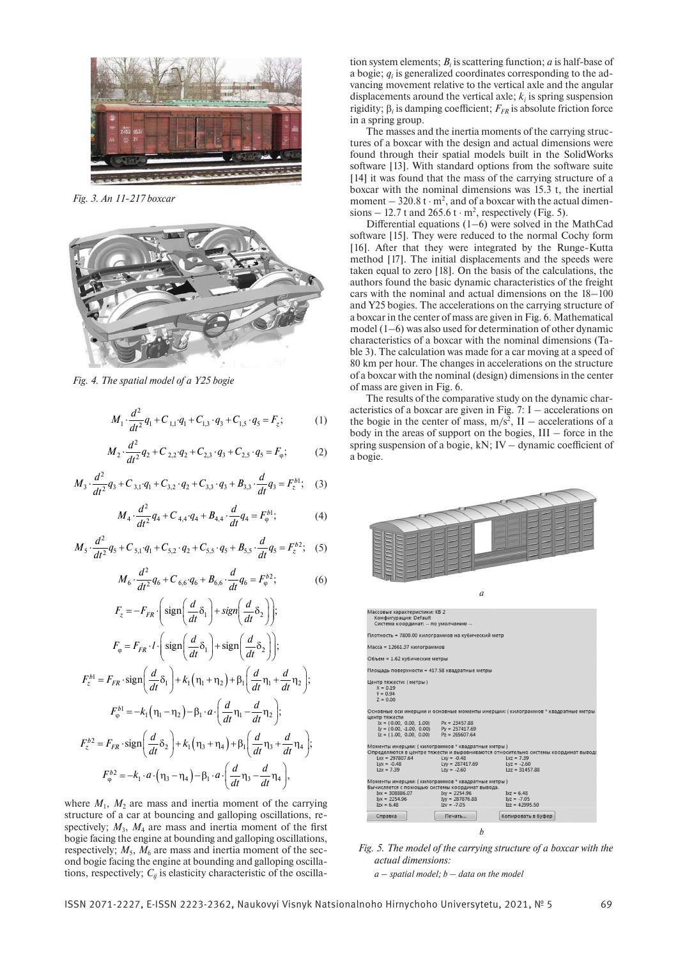

*Fig. 3. An 11-217 boxcar*



*Fig. 4. The spatial model of a Y25 bogie*

$$
M_1 \cdot \frac{d^2}{dt^2} q_1 + C_{1,1} \cdot q_1 + C_{1,3} \cdot q_3 + C_{1,5} \cdot q_5 = F_z; \tag{1}
$$

$$
M_2 \cdot \frac{d^2}{dt^2} q_2 + C_{2,2} \cdot q_2 + C_{2,3} \cdot q_3 + C_{2,5} \cdot q_5 = F_{\varphi};
$$
 (2)

$$
M_3 \cdot \frac{d^2}{dt^2} q_3 + C_{3,1} \cdot q_1 + C_{3,2} \cdot q_2 + C_{3,3} \cdot q_3 + B_{3,3} \cdot \frac{d}{dt} q_3 = F_z^{b1};
$$
 (3)

$$
M_4 \cdot \frac{d^2}{dt^2} q_4 + C_{4,4} \cdot q_4 + B_{4,4} \cdot \frac{d}{dt} q_4 = F_{\varphi}^{b1};
$$
 (4)

$$
M_{5} \cdot \frac{d^{2}}{dt^{2}} q_{5} + C_{5,1} \cdot q_{1} + C_{5,2} \cdot q_{2} + C_{5,5} \cdot q_{5} + B_{5,5} \cdot \frac{d}{dt} q_{5} = F_{z}^{b2};
$$
 (5)

$$
M_6 \cdot \frac{d^2}{dt^2} q_6 + C_{6,6} \cdot q_6 + B_{6,6} \cdot \frac{d}{dt} q_6 = F_{\varphi}^{b2};
$$
 (6)

$$
F_z = -F_{FR} \cdot \left( \text{sign}\left(\frac{d}{dt}\delta_1\right) + \text{sign}\left(\frac{d}{dt}\delta_2\right) \right);
$$
  
\n
$$
F_{\varphi} = F_{FR} \cdot I \cdot \left( \text{sign}\left(\frac{d}{dt}\delta_1\right) + \text{sign}\left(\frac{d}{dt}\delta_2\right) \right);
$$
  
\n
$$
F_z^{b1} = F_{FR} \cdot \text{sign}\left(\frac{d}{dt}\delta_1\right) + k_1 \left(\eta_1 + \eta_2\right) + \beta_1 \left(\frac{d}{dt}\eta_1 + \frac{d}{dt}\eta_2\right);
$$
  
\n
$$
F_{\varphi}^{b1} = -k_1 \left(\eta_1 - \eta_2\right) - \beta_1 \cdot a \cdot \left(\frac{d}{dt}\eta_1 - \frac{d}{dt}\eta_2\right);
$$
  
\n
$$
F_z^{b2} = F_{FR} \cdot \text{sign}\left(\frac{d}{dt}\delta_2\right) + k_1 \left(\eta_3 + \eta_4\right) + \beta_1 \left(\frac{d}{dt}\eta_3 + \frac{d}{dt}\eta_4\right);
$$
  
\n
$$
F_{\varphi}^{b2} = -k_1 \cdot a \cdot \left(\eta_3 - \eta_4\right) - \beta_1 \cdot a \cdot \left(\frac{d}{dt}\eta_3 - \frac{d}{dt}\eta_4\right),
$$

where  $M_1$ ,  $M_2$  are mass and inertia moment of the carrying structure of a car at bouncing and galloping oscillations, respectively;  $M_3$ ,  $M_4$  are mass and inertia moment of the first bogie facing the engine at bounding and galloping oscillations, respectively;  $M_5$ ,  $M_6$  are mass and inertia moment of the second bogie facing the engine at bounding and galloping oscillations, respectively;  $C_{ij}$  is elasticity characteristic of the oscilla-

tion system elements;  $B_i$  is scattering function;  $a$  is half-base of a bogie; *qi* is generalized coordinates corresponding to the advancing movement relative to the vertical axle and the angular displacements around the vertical axle;  $k<sub>i</sub>$  is spring suspension rigidity;  $β<sub>i</sub>$  is damping coefficient;  $F<sub>FR</sub>$  is absolute friction force in a spring group.

The masses and the inertia moments of the carrying structures of a boxcar with the design and actual dimensions were found through their spatial models built in the SolidWorks software [13]. With standard options from the software suite [14] it was found that the mass of the carrying structure of a boxcar with the nominal dimensions was 15.3 t, the inertial moment  $-320.8 t \cdot m^2$ , and of a boxcar with the actual dimensions  $-12.7$  t and 265.6 t  $\cdot$  m<sup>2</sup>, respectively (Fig. 5).

Differential equations (1–6) were solved in the MathCad software [15]. They were reduced to the normal Cochy form [16]. After that they were integrated by the Runge-Kutta method [17]. The initial displacements and the speeds were taken equal to zero [18]. On the basis of the calculations, the authors found the basic dynamic characteristics of the freight cars with the nominal and actual dimensions on the 18–100 and Y25 bogies. The accelerations on the carrying structure of a boxcar in the center of mass are given in Fig. 6. Mathematical model (1–6) was also used for determination of other dynamic characteristics of a boxcar with the nominal dimensions (Table 3). The calculation was made for a car moving at a speed of 80 km per hour. The changes in accelerations on the structure of a boxcar with the nominal (design) dimensions in the center of mass are given in Fig. 6.

The results of the comparative study on the dynamic characteristics of a boxcar are given in Fig.  $7: I -$  accelerations on the bogie in the center of mass,  $m/s^2$ , II – accelerations of a body in the areas of support on the bogies, III – force in the spring suspension of a bogie, kN; IV – dynamic coefficient of a bogie.



*Fig. 5. The model of the carrying structure of a boxcar with the actual dimensions:*

*a – spatial model; b – data on the model*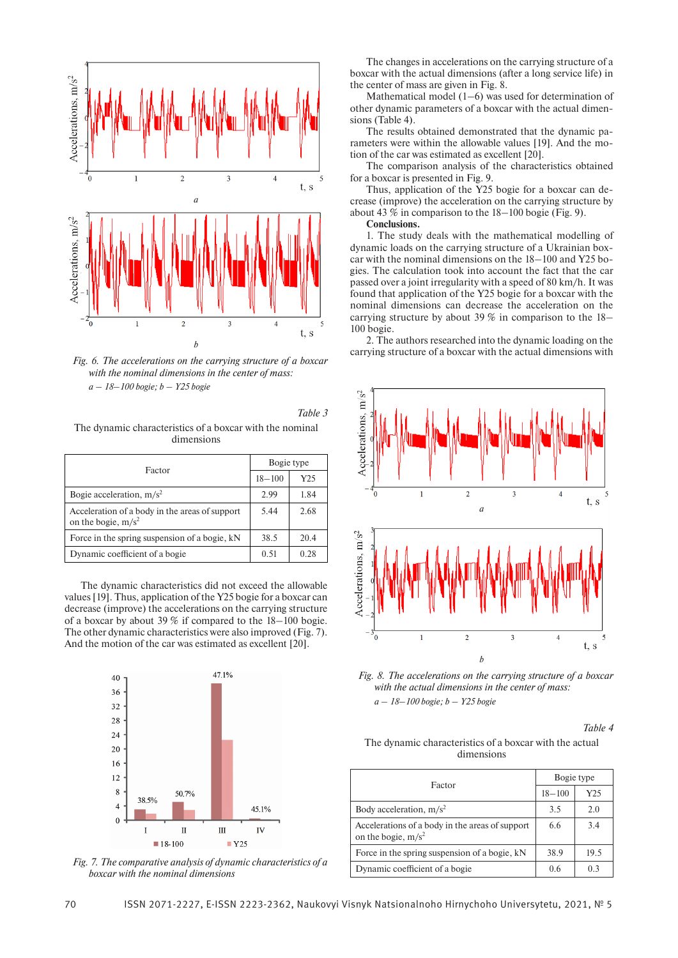

Fig. 6. The accelerations on the carrying structure of a boxcar *with the nominal dimensions in the center of mass: a – 18*–*100 bogie; b – Y25 bogie*

*Table 3* The dynamic characteristics of a boxcar with the nominal dimensions

| Factor                                                                  | Bogie type |      |
|-------------------------------------------------------------------------|------------|------|
|                                                                         | $18 - 100$ | Y25  |
| Bogie acceleration, $m/s^2$                                             | 2.99       | 1.84 |
| Acceleration of a body in the areas of support<br>on the bogie, $m/s^2$ | 5.44       | 2.68 |
| Force in the spring suspension of a bogie, kN                           | 38.5       | 20.4 |
| Dynamic coefficient of a bogie                                          | 0.51       | 0.28 |

The dynamic characteristics did not exceed the allowable values [19]. Thus, application of the Y25 bogie for a boxcar can decrease (improve) the accelerations on the carrying structure of a boxcar by about 39 % if compared to the 18–100 bogie. The other dynamic characteristics were also improved (Fig. 7). And the motion of the car was estimated as excellent [20].



*Fig. 7. The comparative analysis of dynamic characteristics of a boxcar with the nominal dimensions*

The changes in accelerations on the carrying structure of a boxcar with the actual dimensions (after a long service life) in the center of mass are given in Fig. 8.

Mathematical model (1–6) was used for determination of other dynamic parameters of a boxcar with the actual dimensions (Table 4).

The results obtained demonstrated that the dynamic parameters were within the allowable values [19]. And the motion of the car was estimated as excellent [20].

The comparison analysis of the characteristics obtained for a boxcar is presented in Fig. 9.

Thus, application of the Y25 bogie for a boxcar can decrease (improve) the acceleration on the carrying structure by about 43 % in comparison to the 18–100 bogie (Fig. 9).

**Conclusions.**

1. The study deals with the mathematical modelling of dynamic loads on the carrying structure of a Ukrainian boxcar with the nominal dimensions on the 18–100 and Y25 bogies. The calculation took into account the fact that the car passed over a joint irregularity with a speed of 80 km/h. It was found that application of the Y25 bogie for a boxcar with the nominal dimensions can decrease the acceleration on the carrying structure by about 39 % in comparison to the 18– 100 bogie.

2. The authors researched into the dynamic loading on the



*Fig. 8. The accelerations on the carrying structure of a boxcar with the actual dimensions in the center of mass: a – 18*–*100 bogie; b – Y25 bogie*

*Table 4*

The dynamic characteristics of a boxcar with the actual dimensions

| Factor                                                                   | Bogie type |      |
|--------------------------------------------------------------------------|------------|------|
|                                                                          | $18 - 100$ | Y25  |
| Body acceleration, $m/s^2$                                               | 3.5        | 2.0  |
| Accelerations of a body in the areas of support<br>on the bogie, $m/s^2$ | 6.6        | 3.4  |
| Force in the spring suspension of a bogie, kN                            | 38.9       | 19.5 |
| Dynamic coefficient of a bogie                                           | 0.6        | 0.3  |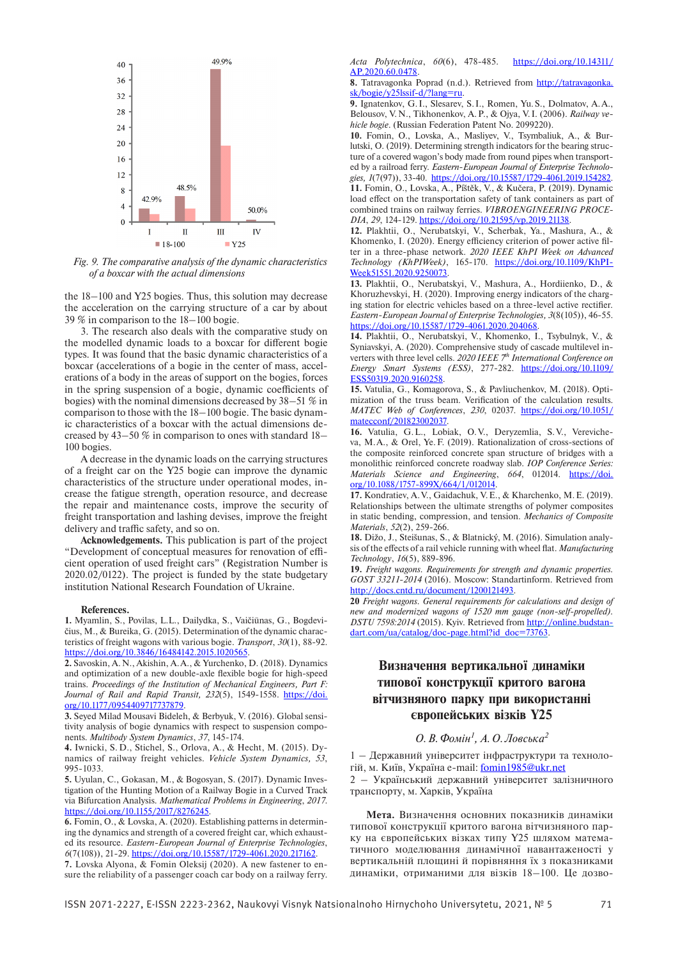

*Fig. 9. The comparative analysis of the dynamic characteristics of a boxcar with the actual dimensions*

the 18–100 and Y25 bogies. Thus, this solution may decrease the acceleration on the carrying structure of a car by about 39 % in comparison to the 18–100 bogie.

3. The research also deals with the comparative study on the modelled dynamic loads to a boxcar for different bogie types. It was found that the basic dynamic characteristics of a boxcar (accelerations of a bogie in the center of mass, accelerations of a body in the areas of support on the bogies, forces in the spring suspension of a bogie, dynamic coefficients of bogies) with the nominal dimensions decreased by 38–51 % in comparison to those with the 18–100 bogie. The basic dynamic characteristics of a boxcar with the actual dimensions decreased by 43–50 % in comparison to ones with standard 18– 100 bogies.

A decrease in the dynamic loads on the carrying structures of a freight car on the Y25 bogie can improve the dynamic characteristics of the structure under operational modes, increase the fatigue strength, operation resource, and decrease the repair and maintenance costs, improve the security of freight transportation and lashing devises, improve the freight delivery and traffic safety, and so on.

**Acknowledgements.** This publication is part of the project "Development of conceptual measures for renovation of efficient operation of used freight cars" (Registration Number is 2020.02/0122). The project is funded by the state budgetary institution National Research Foundation of Ukraine.

#### **References.**

**1.** Myamlin, S., Povilas, L.L., Dailydka, S., Vaičiūnas, G., Bogdevičius, M., & Bureika, G. (2015). Determination of the dynamic characteristics of freight wagons with various bogie. *Transport*, *30*(1), 88-92. https://doi.org/10.3846/16484142.2015.1020565.

**2.** Savoskin, A.N., Akishin, A.A., & Yurchenko, D. (2018). Dynamics and optimization of a new double-axle flexible bogie for high-speed trains. *Proceedings of the Institution of Mechanical Engineers, Part F:*  Journal of Rail and Rapid Transit, 232(5), 1549-1558. https://doi. org/10.1177/0954409717737879.

**3.** Seyed Milad Mousavi Bideleh, & Berbyuk, V. (2016). Global sensitivity analysis of bogie dynamics with respect to suspension components. *Multibody System Dynamics*, *37*, 145-174.

**4.** Iwnicki, S. D., Stichel, S., Orlova, A., & Hecht, M. (2015). Dynamics of railway freight vehicles. *Vehicle System Dynamics, 53*, 995-1033.

**5.** Uyulan, C., Gokasan, M., & Bogosyan, S. (2017). Dynamic Investigation of the Hunting Motion of a Railway Bogie in a Curved Track via Bifurcation Analysis. *Mathematical Problems in Engineering*, *2017*. https://doi.org/10.1155/2017/8276245.

**6.** Fomin, O., & Lovska, A. (2020). Establishing patterns in determining the dynamics and strength of a covered freight car, which exhausted its resource. *Eastern-European Journal of Enterprise Technologies*, *6*(7(108)), 21-29. https://doi.org/10.15587/1729-4061.2020.217162.

**7.** Lovska Alyona, & Fomin Oleksij (2020). A new fastener to ensure the reliability of a passenger coach car body on a railway ferry. *Acta Polytechnica*, *60*(6), 478-485. https://doi.org/10.14311/ AP.2020.60.0478.

**8.** Tatravagonka Poprad (n.d.). Retrieved from http://tatravagonka. sk/bogie/y25lssif-d/?lang=ru.

**9.** Ignatenkov, G.I., Slesarev, S.I., Romen, Yu.S., Dolmatov, A.A., Belousov, V.N., Tikhonenkov, A.P., & Ojya, V.I. (2006). *Railway vehicle bogie*. (Russian Federation Patent No. 2099220).

**10.** Fomin, O., Lovska, A., Masliyev, V., Tsymbaliuk, A., & Burlutski, O. (2019). Determining strength indicators for the bearing structure of a covered wagon's body made from round pipes when transported by a railroad ferry. *Eastern-European Journal of Enterprise Technolo-*

*gies, 1*(7(97)), 33-40. https://doi.org/10.15587/1729-4061.2019.154282. **11.** Fomin, O., Lovska, A., Píštěk, V., & Kučera, P. (2019). Dynamic load effect on the transportation safety of tank containers as part of combined trains on railway ferries. *VIBROENGINEERING PROCE-DIA*, *29*, 124-129. https://doi.org/10.21595/vp.2019.21138.

**12.** Plakhtii, O., Nerubatskyi, V., Scherbak, Ya., Mashura, A., & Khomenko, I. (2020). Energy efficiency criterion of power active filter in a three-phase network. *2020 IEEE KhPI Week on Advanced Technology (KhPIWeek)*, 165-170. https://doi.org/10.1109/KhPI-Week51551.2020.9250073

**13.** Plakhtii, O., Nerubatskyi, V., Mashura, A., Hordiienko, D., & Khoruzhevskyi, H. (2020). Improving energy indicators of the charging station for electric vehicles based on a three-level active rectifier*. Eastern-European Journal of Enterprise Technologies, 3*(8(105)), 46-55. https://doi.org/10.15587/1729-4061.2020.204068.

**14.** Plakhtii, O., Nerubatskyi, V., Khomenko, I., Tsybulnyk, V., & Syniavskyi, A. (2020). Comprehensive study of cascade multilevel inverters with three level cells. *2020 IEEE 7th International Conference on Energy Smart Systems (ESS)*, 277-282. https://doi.org/10.1109/ ESS50319.2020.9160258.

**15.** Vatulia, G., Komagorova, S., & Pavliuchenkov, M. (2018). Optimization of the truss beam. Verification of the calculation results. *MATEC Web of Conferences*, *230*, 02037. https://doi.org/10.1051/ matecconf/201823002037.

**16.** Vatulia, G.L., Lobiak, O.V., Deryzemlia, S.V., Verevicheva, M.A., & Orel, Ye.F. (2019). Rationalization of cross-sections of the composite reinforced concrete span structure of bridges with a monolithic reinforced concrete roadway slab. *IOP Conference Series: Materials Science and Engineering*, *664*, 012014. https://doi. org/10.1088/1757-899X/664/1/012014.

**17.** Kondratiev, A.V., Gaidachuk, V.E., & Kharchenko, M.E. (2019). Relationships between the ultimate strengths of polymer composites in static bending, compression, and tension. *Mechanics of Composite Materials*, *52*(2), 259-266.

**18.** Dižo, J., Steišunas, S., & Blatnický, M. (2016). Simulation analysis of the effects of a rail vehicle running with wheel flat. *Manufacturing Technology*, *16*(5), 889-896.

**19.** *Freight wagons. Requirements for strength and dynamic properties. GOST 33211-2014* (2016). Moscow: Standartinform. Retrieved from http://docs.cntd.ru/document/1200121493.

**20** *Freight wagons. General requirements for calculations and design of new and modernized wagons of 1520 mm gauge (non-self-propelled). DSTU 7598:2014* (2015). Kyiv. Retrieved from http://online.budstandart.com/ua/catalog/doc-page.html?id\_doc=73763.

## **Визначення вертикальної динаміки типової конструкції критого вагона вітчизняного парку при використанні європейських візків Y25**

## *O.В.Фомін1 , А.О.Ловська2*

1 – Державний університет інфраструктури та технологій, м. Київ, Україна e-mail: fomin1985@ukr.net

2 – Український державний університет залізничного транспорту, м. Харків, Україна

**Мета.** Визначення основних показників динаміки типової конструкції критого вагона вітчизняного парку на європейських візках типу Y25 шляхом математичного моделювання динамічної навантаженості у вертикальній площині й порівняння їх з показниками динаміки, отриманими для візків 18–100. Це дозво